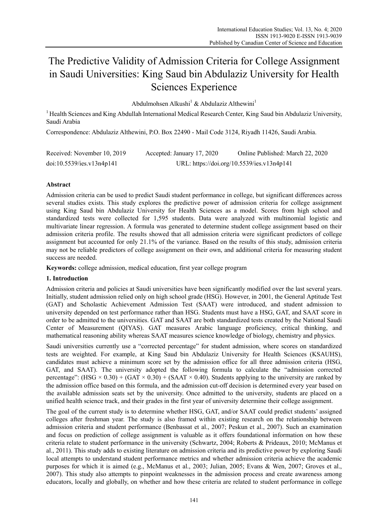# The Predictive Validity of Admission Criteria for College Assignment in Saudi Universities: King Saud bin Abdulaziz University for Health Sciences Experience

Abdulmohsen Alkushi<sup>1</sup> & Abdulaziz Althewini<sup>1</sup>

<sup>1</sup> Health Sciences and King Abdullah International Medical Research Center, King Saud bin Abdulaziz University, Saudi Arabia

Correspondence: Abdulaziz Althewini, P.O. Box 22490 - Mail Code 3124, Riyadh 11426, Saudi Arabia.

| Received: November 10, 2019 | Accepted: January 17, 2020 | Online Published: March 22, 2020           |
|-----------------------------|----------------------------|--------------------------------------------|
| doi:10.5539/ies.v13n4p141   |                            | URL: https://doi.org/10.5539/ies.v13n4p141 |

# **Abstract**

Admission criteria can be used to predict Saudi student performance in college, but significant differences across several studies exists. This study explores the predictive power of admission criteria for college assignment using King Saud bin Abdulaziz University for Health Sciences as a model. Scores from high school and standardized tests were collected for 1,595 students. Data were analyzed with multinomial logistic and multivariate linear regression. A formula was generated to determine student college assignment based on their admission criteria profile. The results showed that all admission criteria were significant predictors of college assignment but accounted for only 21.1% of the variance. Based on the results of this study, admission criteria may not be reliable predictors of college assignment on their own, and additional criteria for measuring student success are needed.

**Keywords:** college admission, medical education, first year college program

## **1. Introduction**

Admission criteria and policies at Saudi universities have been significantly modified over the last several years. Initially, student admission relied only on high school grade (HSG). However, in 2001, the General Aptitude Test (GAT) and Scholastic Achievement Admission Test (SAAT) were introduced, and student admission to university depended on test performance rather than HSG. Students must have a HSG, GAT, and SAAT score in order to be admitted to the universities. GAT and SAAT are both standardized tests created by the National Saudi Center of Measurement (QIYAS). GAT measures Arabic language proficiency, critical thinking, and mathematical reasoning ability whereas SAAT measures science knowledge of biology, chemistry and physics.

Saudi universities currently use a "corrected percentage" for student admission, where scores on standardized tests are weighted. For example, at King Saud bin Abdulaziz University for Health Sciences (KSAUHS), candidates must achieve a minimum score set by the admission office for all three admission criteria (HSG, GAT, and SAAT). The university adopted the following formula to calculate the "admission corrected percentage": (HSG  $\times$  0.30) + (GAT  $\times$  0.30) + (SAAT  $\times$  0.40). Students applying to the university are ranked by the admission office based on this formula, and the admission cut-off decision is determined every year based on the available admission seats set by the university. Once admitted to the university, students are placed on a unified health science track, and their grades in the first year of university determine their college assignment.

The goal of the current study is to determine whether HSG, GAT, and/or SAAT could predict students' assigned colleges after freshman year. The study is also framed within existing research on the relationship between admission criteria and student performance (Benbassat et al., 2007; Peskun et al., 2007). Such an examination and focus on prediction of college assignment is valuable as it offers foundational information on how these criteria relate to student performance in the university (Schwartz, 2004; Roberts & Prideaux, 2010; McManus et al., 2011). This study adds to existing literature on admission criteria and its predictive power by exploring Saudi local attempts to understand student performance metrics and whether admission criteria achieve the academic purposes for which it is aimed (e.g., McManus et al., 2003; Julian, 2005; Evans & Wen, 2007; Groves et al., 2007). This study also attempts to pinpoint weaknesses in the admission process and create awareness among educators, locally and globally, on whether and how these criteria are related to student performance in college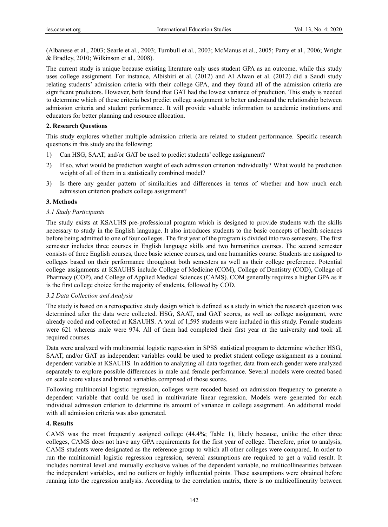(Albanese et al., 2003; Searle et al., 2003; Turnbull et al., 2003; McManus et al., 2005; Parry et al., 2006; Wright & Bradley, 2010; Wilkinson et al., 2008).

The current study is unique because existing literature only uses student GPA as an outcome, while this study uses college assignment. For instance, Albishiri et al. (2012) and Al Alwan et al. (2012) did a Saudi study relating students' admission criteria with their college GPA, and they found all of the admission criteria are significant predictors. However, both found that GAT had the lowest variance of prediction. This study is needed to determine which of these criteria best predict college assignment to better understand the relationship between admission criteria and student performance. It will provide valuable information to academic institutions and educators for better planning and resource allocation.

## **2. Research Questions**

This study explores whether multiple admission criteria are related to student performance. Specific research questions in this study are the following:

- 1) Can HSG, SAAT, and/or GAT be used to predict students' college assignment?
- 2) If so, what would be prediction weight of each admission criterion individually? What would be prediction weight of all of them in a statistically combined model?
- 3) Is there any gender pattern of similarities and differences in terms of whether and how much each admission criterion predicts college assignment?

# **3. Methods**

## *3.1 Study Participants*

The study exists at KSAUHS pre-professional program which is designed to provide students with the skills necessary to study in the English language. It also introduces students to the basic concepts of health sciences before being admitted to one of four colleges. The first year of the program is divided into two semesters. The first semester includes three courses in English language skills and two humanities courses. The second semester consists of three English courses, three basic science courses, and one humanities course. Students are assigned to colleges based on their performance throughout both semesters as well as their college preference. Potential college assignments at KSAUHS include College of Medicine (COM), College of Dentistry (COD), College of Pharmacy (COP), and College of Applied Medical Sciences (CAMS). COM generally requires a higher GPA as it is the first college choice for the majority of students, followed by COD.

## *3.2 Data Collection and Analysis*

The study is based on a retrospective study design which is defined as a study in which the research question was determined after the data were collected. HSG, SAAT, and GAT scores, as well as college assignment, were already coded and collected at KSAUHS. A total of 1,595 students were included in this study. Female students were 621 whereas male were 974. All of them had completed their first year at the university and took all required courses.

Data were analyzed with multinomial logistic regression in SPSS statistical program to determine whether HSG, SAAT, and/or GAT as independent variables could be used to predict student college assignment as a nominal dependent variable at KSAUHS. In addition to analyzing all data together, data from each gender were analyzed separately to explore possible differences in male and female performance. Several models were created based on scale score values and binned variables comprised of those scores.

Following multinomial logistic regression, colleges were recoded based on admission frequency to generate a dependent variable that could be used in multivariate linear regression. Models were generated for each individual admission criterion to determine its amount of variance in college assignment. An additional model with all admission criteria was also generated.

## **4. Results**

CAMS was the most frequently assigned college (44.4%; Table 1), likely because, unlike the other three colleges, CAMS does not have any GPA requirements for the first year of college. Therefore, prior to analysis, CAMS students were designated as the reference group to which all other colleges were compared. In order to run the multinomial logistic regression regression, several assumptions are required to get a valid result. It includes nominal level and mutually exclusive values of the dependent variable, no multicollinearities between the independent variables, and no outliers or highly influential points. These assumptions were obtained before running into the regression analysis. According to the correlation matrix, there is no multicollinearity between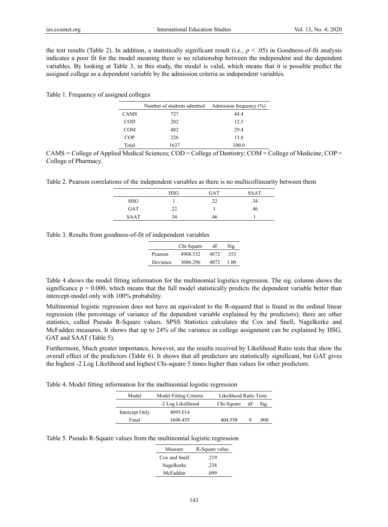the test results (Table 2). In addition, a statistically significant result (i.e.,  $p < .05$ ) in Goodness-of-fit analysis indicates a poor fit for the model meaning there is no relationship between the independent and the dependent variables. By looking at Table 3, in this study, the model is valid, which means that it is possible predict the assigned college as a dependent variable by the admission criteria as independent variables.

Table 1. Frequency of assigned colleges

|             | Number of students admitted Admission frequency (%) |       |
|-------------|-----------------------------------------------------|-------|
| <b>CAMS</b> | 727                                                 | 44.4  |
| COD         | 202                                                 | 12.3  |
| <b>COM</b>  | 482                                                 | 29.4  |
| COP         | 226                                                 | 13.8  |
| Total       | 1637                                                | 100.0 |

 $CAMS = College of Applied Medical Sciences; COD = College of Dentistry; COM = College of Medicine; COP =$ College of Pharmacy.

Table 2. Pearson correlations of the independent variables as there is no multicollinearity between them

|             | HSG | <b>GAT</b> | <b>SAAT</b> |
|-------------|-----|------------|-------------|
| <b>HSG</b>  |     | .22        | .34         |
| <b>GAT</b>  | .22 |            | .46         |
| <b>SAAT</b> | .34 | .46        |             |

Table 3. Results from goodness-of-fit of independent variables

|          | Chi-Square | df   | Sig. |
|----------|------------|------|------|
| Pearson  | 4908.532   | 4872 | .353 |
| Deviance | 3686.296   | 4872 | 1.00 |

Table 4 shows the model fitting information for the multinomial logistics regression. The sig. column shows the significance  $p = 0.000$ , which means that the full model statistically predicts the dependent variable better than intercept-model only with 100% probability.

Multinomial logistic regression does not have an equivalent to the R-squared that is found in the ordinal linear regression (the percentage of variance of the dependent variable explained by the predictors); there are other statistics, called Pseudo R-Square values. SPSS Statistics calculates the Cox and Snell, Nagelkerke and McFadden measures. It shows that up to 24% of the variance in college assignment can be explained by HSG, GAT and SAAT (Table 5).

Furthermore, Much greater importance, however, are the results received by Likelihood Ratio tests that show the overall effect of the predictors (Table 6). It shows that all predictors are statistically significant, but GAT gives the highest -2 Log Likelihood and highest Chi-square 5 times higher than values for other predictors.

Table 4. Model fitting information for the multinomial logistic regression

| Model          | Model Fitting Criteria | Likelihood Ratio Tests |    |      |
|----------------|------------------------|------------------------|----|------|
|                | -2 Log Likelihood      | Chi-Square             | df | Sig. |
| Intercept Only | 4095.014               |                        |    |      |
| Final          | 3690.455               | 404.558                | Q  | .000 |

Table 5. Pseudo R-Square values from the multinomial logistic regression

| Measure       | R-Square value |
|---------------|----------------|
| Cox and Snell | .219           |
| Nagelkerke    | .238           |
| McFadden      | .099           |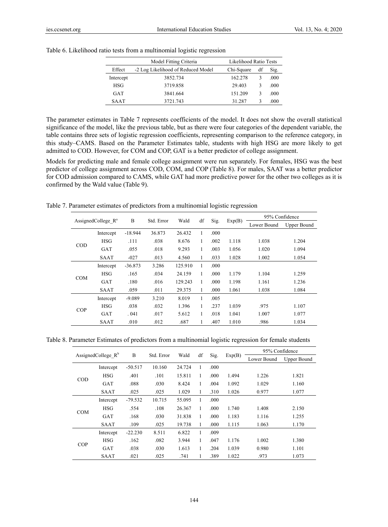|           | Model Fitting Criteria             | Likelihood Ratio Tests |    |      |
|-----------|------------------------------------|------------------------|----|------|
| Effect    | -2 Log Likelihood of Reduced Model | Chi-Square             | df | Sig. |
| Intercept | 3852.734                           | 162.278                | 3  | .000 |
| HSG       | 3719.858                           | 29.403                 | 3  | .000 |
| GAT       | 3841.664                           | 151.209                | 3  | .000 |
| SAAT      | 3721.743                           | 31.287                 | ٦  | .000 |

Table 6. Likelihood ratio tests from a multinomial logistic regression

The parameter estimates in Table 7 represents coefficients of the model. It does not show the overall statistical significance of the model, like the previous table, but as there were four categories of the dependent variable, the table contains three sets of logistic regression coefficients, representing comparison to the reference category, in this study–CAMS. Based on the Parameter Estimates table, students with high HSG are more likely to get admitted to COD. However, for COM and COP, GAT is a better predictor of college assignment.

Models for predicting male and female college assignment were run separately. For females, HSG was the best predictor of college assignment across COD, COM, and COP (Table 8). For males, SAAT was a better predictor for COD admission compared to CAMS, while GAT had more predictive power for the other two colleges as it is confirmed by the Wald value (Table 9).

Table 7. Parameter estimates of predictors from a multinomial logistic regression

| AssignedCollege $\mathbb{R}^a$ |             |           | Std. Error |         |            |      |        |             | 95% Confidence |  |  |
|--------------------------------|-------------|-----------|------------|---------|------------|------|--------|-------------|----------------|--|--|
|                                |             | B         |            | Wald    | df<br>Sig. |      | Exp(B) | Lower Bound | Upper Bound    |  |  |
|                                | Intercept   | $-18.944$ | 36.873     | 26.432  | 1          | .000 |        |             |                |  |  |
|                                | <b>HSG</b>  | .111      | .038       | 8.676   | 1          | .002 | 1.118  | 1.038       | 1.204          |  |  |
| <b>COD</b>                     | <b>GAT</b>  | .055      | .018       | 9.293   | 1          | .003 | 1.056  | 1.020       | 1.094          |  |  |
|                                | <b>SAAT</b> | $-027$    | .013       | 4.560   | 1          | .033 | 1.028  | 1.002       | 1.054          |  |  |
|                                | Intercept   | $-36.873$ | 3.286      | 125.910 | 1          | .000 |        |             |                |  |  |
|                                | HSG         | .165      | .034       | 24.159  | 1          | .000 | 1.179  | 1.104       | 1.259          |  |  |
| <b>COM</b>                     | <b>GAT</b>  | .180      | .016       | 129.243 | 1          | .000 | 1.198  | 1.161       | 1.236          |  |  |
|                                | <b>SAAT</b> | .059      | .011       | 29.375  | 1          | .000 | 1.061  | 1.038       | 1.084          |  |  |
|                                | Intercept   | $-9.089$  | 3.210      | 8.019   | 1          | .005 |        |             |                |  |  |
| <b>COP</b>                     | HSG         | .038      | .032       | 1.396   | 1          | .237 | 1.039  | .975        | 1.107          |  |  |
|                                | <b>GAT</b>  | .041      | .017       | 5.612   | 1          | .018 | 1.041  | 1.007       | 1.077          |  |  |
|                                | <b>SAAT</b> | .010      | .012       | .687    |            | .407 | 1.010  | .986        | 1.034          |  |  |

Table 8. Parameter Estimates of predictors from a multinomial logistic regression for female students

| AssignedCollege $R^b$ |             |           |            |        |    |       |        |             | 95% Confidence |  |
|-----------------------|-------------|-----------|------------|--------|----|-------|--------|-------------|----------------|--|
|                       |             | B         | Std. Error | Wald   | df | Sig.  | Exp(B) | Lower Bound | Upper Bound    |  |
|                       | Intercept   | $-50.517$ | 10.160     | 24.724 | 1  | .000  |        |             |                |  |
|                       | HSG         | .401      | .101       | 15.811 | 1  | .000  | 1.494  | 1.226       | 1.821          |  |
| <b>COD</b>            | <b>GAT</b>  | .088      | .030       | 8.424  | 1  | .004  | 1.092  | 1.029       | 1.160          |  |
|                       | <b>SAAT</b> | .025      | .025       | 1.029  | 1  | .310  | 1.026  | 0.977       | 1.077          |  |
|                       | Intercept   | $-79.532$ | 10.715     | 55.095 | 1  | .000  |        |             |                |  |
| <b>COM</b>            | HSG         | .554      | .108       | 26.367 | 1  | .000  | 1.740  | 1.408       | 2.150          |  |
|                       | GAT         | .168      | .030       | 31.838 | 1  | .000  | 1.183  | 1.116       | 1.255          |  |
|                       | <b>SAAT</b> | .109      | .025       | 19.738 | 1  | .000. | 1.115  | 1.063       | 1.170          |  |
|                       | Intercept   | $-22.230$ | 8.511      | 6.822  |    | .009  |        |             |                |  |
|                       | HSG         | .162      | .082       | 3.944  | 1  | .047  | 1.176  | 1.002       | 1.380          |  |
| <b>COP</b>            | <b>GAT</b>  | .038      | .030       | 1.613  | 1  | .204  | 1.039  | 0.980       | 1.101          |  |
|                       | <b>SAAT</b> | .021      | .025       | .741   |    | .389  | 1.022  | .973        | 1.073          |  |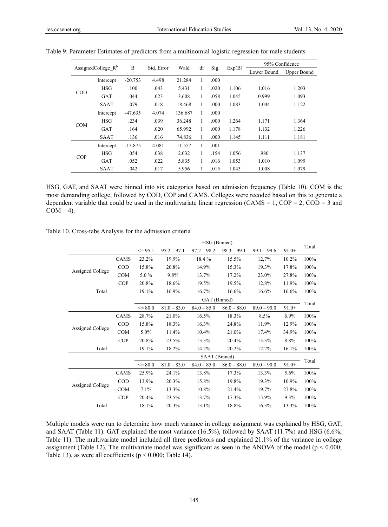| AssignedCollege $R^b$ |             |           |            |                    |   |      | Exp(B)      |             | 95% Confidence |
|-----------------------|-------------|-----------|------------|--------------------|---|------|-------------|-------------|----------------|
|                       |             | B         | Std. Error | df<br>Wald<br>Sig. |   |      | Lower Bound | Upper Bound |                |
|                       | Intercept   | $-20.753$ | 4.498      | 21.284             | 1 | .000 |             |             |                |
| <b>COD</b>            | <b>HSG</b>  | .100      | .043       | 5.431              | 1 | .020 | 1.106       | 1.016       | 1.203          |
|                       | <b>GAT</b>  | .044      | .023       | 3.608              | 1 | .058 | 1.045       | 0.999       | 1.093          |
|                       | <b>SAAT</b> | .079      | .018       | 18.468             | 1 | .000 | 1.083       | 1.044       | 1.122          |
|                       | Intercept   | $-47.635$ | 4.074      | 136.687            | 1 | .000 |             |             |                |
|                       | <b>HSG</b>  | .234      | .039       | 36.248             | 1 | .000 | 1.264       | 1.171       | 1.364          |
| <b>COM</b>            | GAT         | .164      | .020       | 65.992             | 1 | .000 | 1.178       | 1.132       | 1.226          |
|                       | <b>SAAT</b> | .136      | .016       | 74.836             | 1 | .000 | 1.145       | 1.111       | 1.181          |
|                       | Intercept   | $-13.875$ | 4.081      | 11.557             | 1 | .001 |             |             |                |
| COP                   | <b>HSG</b>  | .054      | .038       | 2.032              | 1 | .154 | 1.056       | .980        | 1.137          |
|                       | GAT         | .052      | .022       | 5.835              | 1 | .016 | 1.053       | 1.010       | 1.099          |
|                       | <b>SAAT</b> | .042      | .017       | 5.956              |   | .015 | 1.043       | 1.008       | 1.079          |

Table 9. Parameter Estimates of predictors from a multinomial logistic regression for male students

HSG, GAT, and SAAT were binned into six categories based on admission frequency (Table 10). COM is the most demanding college, followed by COD, COP and CAMS. Colleges were recoded based on this to generate a dependent variable that could be used in the multivariate linear regression (CAMS = 1, COP = 2, COD = 3 and  $COM = 4$ ).

|                  |             | HSG (Binned) |               |               |               |               |         |       |  |
|------------------|-------------|--------------|---------------|---------------|---------------|---------------|---------|-------|--|
|                  |             | $\leq$ 95.1  | $95.2 - 97.1$ | $97.2 - 98.2$ | $98.3 - 99.1$ | $99.1 - 99.6$ | $91.0+$ | Total |  |
|                  | CAMS        | 23.2%        | 19.9%         | 18.4%         | 15.5%         | 12,7%         | 10.2%   | 100%  |  |
|                  | $\rm{COD}$  | 15.8%        | 20.8%         | 14.9%         | 15.3%         | 19.3%         | 17.8%   | 100%  |  |
| Assigned College | COM         | 5.0%         | 9.8%          | 13.7%         | 17.2%         | 23.0%         | 27.8%   | 100%  |  |
|                  | COP         | 20.8%        | 18.6%         | 19.5%         | 19.5%         | 12.8%         | 11.9%   | 100%  |  |
| Total            |             | 19.1%        | 16.9%         | 16.7%         | 16.6%         | 16.6%         | 16.6%   | 100%  |  |
|                  |             |              |               | GAT (Binned)  |               |               |         |       |  |
|                  |             | $\leq$ 80.0  | $81.0 - 83.0$ | $84.0 - 85.0$ | $86.0 - 88.0$ | $89.0 - 90.0$ | $91.0+$ | Total |  |
|                  | CAMS        | 28.7%        | 21.0%         | 16.5%         | 18.3%         | 8.5%          | $6.9\%$ | 100%  |  |
|                  | $\rm{COD}$  | 15.8%        | 18.3%         | 16.3%         | 24.8%         | 11.9%         | 12.9%   | 100%  |  |
| Assigned College | <b>COM</b>  | 5.0%         | 11.4%         | 10.4%         | 21.0%         | 17.4%         | 34.9%   | 100%  |  |
|                  | COP         | 20.8%        | 23.5%         | 13.3%         | 20.4%         | 13.3%         | 8.8%    | 100%  |  |
| Total            |             | 19.1%        | 18.2%         | 14.2%         | 20.2%         | 12.2%         | 16.1%   | 100%  |  |
|                  |             |              |               | SAAT (Binned) |               |               |         |       |  |
|                  |             | $\leq$ 80.0  | $81.0 - 83.0$ | $84.0 - 85.0$ | $86.0 - 88.0$ | $89.0 - 90.0$ | $91.0+$ | Total |  |
|                  | <b>CAMS</b> | 25.9%        | 24.1%         | 13.8%         | 17.3%         | 13.3%         | 5.6%    | 100%  |  |
|                  | $\rm{COD}$  | 13.9%        | 20.3%         | 15.8%         | 19.8%         | 19.3%         | 10.9%   | 100%  |  |
| Assigned College | COM         | 7.1%         | 13.3%         | 10.8%         | 21.4%         | 19.7%         | 27.8%   | 100%  |  |
|                  | COP         | 20.4%        | 23.5%         | 13.7%         | 17.3%         | 15.9%         | 9.3%    | 100%  |  |
| Total            |             | 18.1%        | 20.3%         | 13.1%         | 18.8%         | 16.3%         | 13.3%   | 100%  |  |

Table 10. Cross-tabs Analysis for the admission criteria

Multiple models were run to determine how much variance in college assignment was explained by HSG, GAT, and SAAT (Table 11). GAT explained the most variance (16.5%), followed by SAAT (11.7%) and HSG (6.6%; Table 11). The multivariate model included all three predictors and explained 21.1% of the variance in college assignment (Table 12). The multivariate model was significant as seen in the ANOVA of the model ( $p < 0.000$ ; Table 13), as were all coefficients ( $p < 0.000$ ; Table 14).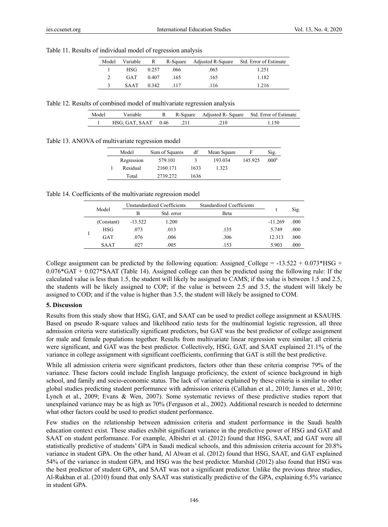Table 11. Results of individual model of regression analysis

| Model |              |       |        |      | Variable R R-Square Adjusted R-Square Std. Error of Estimate |
|-------|--------------|-------|--------|------|--------------------------------------------------------------|
|       | <b>HSG</b>   | 0.257 | .066   | .065 | 1.251                                                        |
|       | GAT          | 0.407 | .165   | .165 | 1.182                                                        |
|       | $SAAT$ 0.342 |       | $-117$ | .116 | 1.216                                                        |

Table 12. Results of combined model of multivariate regression analysis

| Model | ∕ariahle            | R-Square | Adjusted R-Square Std. Error of Estimate |
|-------|---------------------|----------|------------------------------------------|
|       | HSG, GAT, SAAT 0.46 |          | .150                                     |

Table 13. ANOVA of multivariate regression model

| Model      | Sum of Squares | df   | Mean Square | F       | Sig.              |
|------------|----------------|------|-------------|---------|-------------------|
| Regression | 579.101        |      | 193.034     | 145.925 | .000 <sup>b</sup> |
| Residual   | 2160.171       | 1633 | 1.323       |         |                   |
| Total      | 2739.272       | 1636 |             |         |                   |

Table 14. Coefficients of the multivariate regression model

| Model |             | Unstandardized Coefficients |                            | <b>Standardized Coefficients</b> |           | Sig. |
|-------|-------------|-----------------------------|----------------------------|----------------------------------|-----------|------|
|       |             | в                           | <b>B</b> eta<br>Std. error |                                  |           |      |
|       | (Constant)  | $-13.522$                   | 1.200                      |                                  | $-11.269$ | .000 |
|       | <b>HSG</b>  | .073                        | .013                       | .135                             | 5.749     | .000 |
|       | <b>GAT</b>  | .076                        | .006                       | .306                             | 12.313    | .000 |
|       | <b>SAAT</b> | .027                        | .005                       | .153                             | 5.903     | .000 |

College assignment can be predicted by the following equation: Assigned College =  $-13.522 + 0.073*$ HSG +  $0.076*GAT + 0.027*SAAT$  (Table 14). Assigned college can then be predicted using the following rule: If the calculated value is less than 1.5, the student will likely be assigned to CAMS; if the value is between 1.5 and 2.5, the students will be likely assigned to COP; if the value is between 2.5 and 3.5, the student will likely be assigned to COD; and if the value is higher than 3.5, the student will likely be assigned to COM.

### **5. Discussion**

Results from this study show that HSG, GAT, and SAAT can be used to predict college assignment at KSAUHS. Based on pseudo R-square values and likelihood ratio tests for the multinomial logistic regression, all three admission criteria were statistically significant predictors, but GAT was the best predictor of college assignment for male and female populations together. Results from multivariate linear regression were similar; all criteria were significant, and GAT was the best predictor. Collectively, HSG, GAT, and SAAT explained 21.1% of the variance in college assignment with significant coefficients, confirming that GAT is still the best predictive.

While all admission criteria were significant predictors, factors other than these criteria comprise 79% of the variance. These factors could include English language proficiency, the extent of science background in high school, and family and socio-economic status. The lack of variance explained by these criteria is similar to other global studies predicting student performance with admission criteria (Callahan et al., 2010; James et al., 2010; Lynch et al., 2009; Evans & Wen, 2007). Some systematic reviews of these predictive studies report that unexplained variance may be as high as 70% (Ferguson et al., 2002). Additional research is needed to determine what other factors could be used to predict student performance.

Few studies on the relationship between admission criteria and student performance in the Saudi health education context exist. These studies exhibit significant variance in the predictive power of HSG and GAT and SAAT on student performance. For example, Albishri et al. (2012) found that HSG, SAAT, and GAT were all statistically predictive of students' GPA in Saudi medical schools, and this admission criteria account for 20.8% variance in student GPA. On the other hand, Al Alwan et al. (2012) found that HSG, SAAT, and GAT explained 54% of the variance in student GPA, and HSG was the best predictor. Murshid (2012) also found that HSG was the best predictor of student GPA, and SAAT was not a significant predictor. Unlike the previous three studies, Al-Rukban et al. (2010) found that only SAAT was statistically predictive of the GPA, explaining 6.5% variance in student GPA.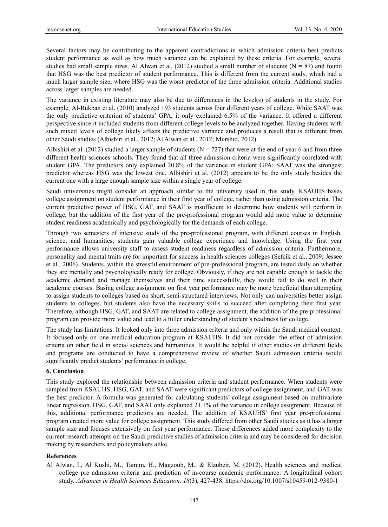Several factors may be contributing to the apparent contradictions in which admission criteria best predicts student performance as well as how much variance can be explained by these criteria. For example, several studies had small sample sizes. Al Alwan et al. (2012) studied a small number of students ( $N = 87$ ) and found that HSG was the best predictor of student performance. This is different from the current study, which had a much larger sample size, where HSG was the worst predictor of the three admission criteria. Additional studies across larger samples are needed.

The variance in existing literature may also be due to differences in the level(s) of students in the study. For example, Al-Rukban et al. (2010) analyzed 193 students across four different years of college. While SAAT was the only predictive criterion of students' GPA, it only explained 6.5% of the variance. It offered a different perspective since it included students from different college levels to be analyzed together. Having students with such mixed levels of college likely affects the predictive variance and produces a result that is different from other Saudi studies (Albishiri et al., 2012; Al Alwan et al., 2012; Murshid, 2012).

Albishiri et al. (2012) studied a larger sample of students ( $N = 727$ ) that were at the end of year 6 and from three different health sciences schools. They found that all three admission criteria were significantly correlated with student GPA. The predictors only explained 20.8% of the variance in student GPA; SAAT was the strongest predictor whereas HSG was the lowest one. Albishiri et al. (2012) appears to be the only study besides the current one with a large enough sample size within a single year of college.

Saudi universities might consider an approach similar to the university used in this study. KSAUHS bases college assignment on student performance in their first year of college, rather than using admission criteria. The current predictive power of HSG, GAT, and SAAT is insufficient to determine how students will perform in college, but the addition of the first year of the pre-professional program would add more value to determine student readiness academically and psychologically for the demands of each college.

Through two semesters of intensive study of the pre-professional program, with different courses in English, science, and humanities, students gain valuable college experience and knowledge. Using the first year performance allows university staff to assess student readiness regardless of admission criteria. Furthermore, personality and mental traits are for important for success in health sciences colleges (Sefcik et al., 2009; Jessee et al., 2006). Students, within the stressful environment of pre-professional program, are tested daily on whether they are mentally and psychologically ready for college. Obviously, if they are not capable enough to tackle the academic demand and manage themselves and their time successfully, they would fail to do well in their academic courses. Basing college assignment on first year performance may be more beneficial than attempting to assign students to colleges based on short, semi-structured interviews. Not only can universities better assign students to colleges, but students also have the necessary skills to succeed after completing their first year. Therefore, although HSG, GAT, and SAAT are related to college assignment, the addition of the pre-professional program can provide more value and lead to a fuller understanding of student's readiness for college.

The study has limitations. It looked only into three admission criteria and only within the Saudi medical context. It focused only on one medical education program at KSAUHS. It did not consider the effect of admission criteria on other field in social sciences and humanities. It would be helpful if other studies on different fields and programs are conducted to have a comprehensive review of whether Saudi admission criteria would significantly predict students' performance in college.

#### **6. Conclusion**

This study explored the relationship between admission criteria and student performance. When students were sampled from KSAUHS, HSG, GAT, and SAAT were significant predictors of college assignment, and GAT was the best predictor. A formula was generated for calculating students' college assignment based on multivariate linear regression. HSG, GAT, and SAAT only explained 21.1% of the variance in college assignment. Because of this, additional performance predictors are needed. The addition of KSAUHS' first year pre-professional program created more value for college assignment. This study differed from other Saudi studies as it has a larger sample size and focuses extensively on first year performance. These differences added more complexity to the current research attempts on the Saudi predictive studies of admission criteria and may be considered for decision making by researchers and policymakers alike.

#### **References**

Al Alwan, I., Al Kushi, M., Tamim, H., Magzoub, M., & Elzubeir, M. (2012). Health sciences and medical college pre admission criteria and prediction of in-course academic performance: A longitudinal cohort study. *Advances in Health Sciences Education, 18*(3), 427-438. https://doi.org/10.1007/s10459-012-9380-1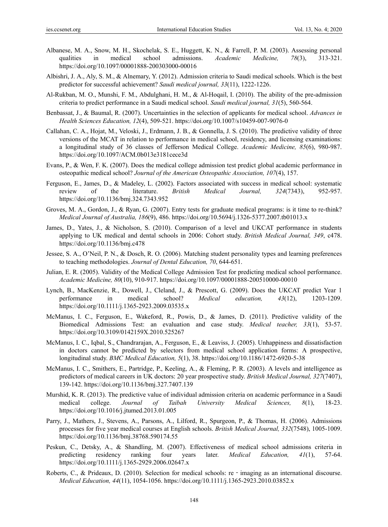- Albanese, M. A., Snow, M. H., Skochelak, S. E., Huggett, K. N., & Farrell, P. M. (2003). Assessing personal qualities in medical school admissions. *Academic Medicine, 78*(3), 313-321. https://doi.org/10.1097/00001888-200303000-00016
- Albishri, J. A., Aly, S. M., & Alnemary, Y. (2012). Admission criteria to Saudi medical schools. Which is the best predictor for successful achievement? *Saudi medical journal, 33*(11), 1222-1226.
- Al-Rukban, M. O., Munshi, F. M., Abdulghani, H. M., & Al-Hoqail, I. (2010). The ability of the pre-admission criteria to predict performance in a Saudi medical school. *Saudi medical journal, 31*(5), 560-564.
- Benbassat, J., & Baumal, R. (2007). Uncertainties in the selection of applicants for medical school. *Advances in Health Sciences Education, 12*(4), 509-521. https://doi.org/10.1007/s10459-007-9076-0
- Callahan, C. A., Hojat, M., Veloski, J., Erdmann, J. B., & Gonnella, J. S. (2010). The predictive validity of three versions of the MCAT in relation to performance in medical school, residency, and licensing examinations: a longitudinal study of 36 classes of Jefferson Medical College. *Academic Medicine, 85*(6), 980-987. https://doi.org/10.1097/ACM.0b013e3181cece3d
- Evans, P., & Wen, F. K. (2007). Does the medical college admission test predict global academic performance in osteopathic medical school? *Journal of the American Osteopathic Association, 107*(4), 157.
- Ferguson, E., James, D., & Madeley, L. (2002). Factors associated with success in medical school: systematic review of the literature. *British Medical Journal, 324*(7343), 952-957. https://doi.org/10.1136/bmj.324.7343.952
- Groves, M. A., Gordon, J., & Ryan, G. (2007). Entry tests for graduate medical programs: is it time to re-think? *Medical Journal of Australia, 186*(9), 486. https://doi.org/10.5694/j.1326-5377.2007.tb01013.x
- James, D., Yates, J., & Nicholson, S. (2010). Comparison of a level and UKCAT performance in students applying to UK medical and dental schools in 2006: Cohort study. *British Medical Journal, 349*, c478. https://doi.org/10.1136/bmj.c478
- Jessee, S. A., O'Neil, P. N., & Dosch, R. O. (2006). Matching student personality types and learning preferences to teaching methodologies. *Journal of Dental Education, 70*, 644-651.
- Julian, E. R. (2005). Validity of the Medical College Admission Test for predicting medical school performance. *Academic Medicine, 80*(10), 910-917. https://doi.org/10.1097/00001888-200510000-00010
- Lynch, B., MacKenzie, R., Dowell, J., Cleland, J., & Prescott, G. (2009). Does the UKCAT predict Year 1 performance in medical school? *Medical education, 43*(12), 1203-1209. https://doi.org/10.1111/j.1365-2923.2009.03535.x
- McManus, I. C., Ferguson, E., Wakeford, R., Powis, D., & James, D. (2011). Predictive validity of the Biomedical Admissions Test: an evaluation and case study. *Medical teacher, 33*(1), 53-57. https://doi.org/10.3109/0142159X.2010.525267
- McManus, I. C., Iqbal, S., Chandrarajan, A., Ferguson, E., & Leaviss, J. (2005). Unhappiness and dissatisfaction in doctors cannot be predicted by selectors from medical school application forms: A prospective, longitudinal study. *BMC Medical Education, 5*(1), 38. https://doi.org/10.1186/1472-6920-5-38
- McManus, I. C., Smithers, E., Partridge, P., Keeling, A., & Fleming, P. R. (2003). A levels and intelligence as predictors of medical careers in UK doctors: 20 year prospective study. *British Medical Journal, 327*(7407), 139-142. https://doi.org/10.1136/bmj.327.7407.139
- Murshid, K. R. (2013). The predictive value of individual admission criteria on academic performance in a Saudi medical college. *Journal of Taibah University Medical Sciences, 8*(1), 18-23. https://doi.org/10.1016/j.jtumed.2013.01.005
- Parry, J., Mathers, J., Stevens, A., Parsons, A., Lilford, R., Spurgeon, P., & Thomas, H. (2006). Admissions processes for five year medical courses at English schools. *British Medical Journal, 332*(7548), 1005-1009. https://doi.org/10.1136/bmj.38768.590174.55
- Peskun, C., Detsky, A., & Shandling, M. (2007). Effectiveness of medical school admissions criteria in predicting residency ranking four years later. *Medical Education, 41*(1), 57-64. https://doi.org/10.1111/j.1365-2929.2006.02647.x
- Roberts, C., & Prideaux, D. (2010). Selection for medical schools: re imaging as an international discourse. *Medical Education, 44*(11), 1054-1056. https://doi.org/10.1111/j.1365-2923.2010.03852.x